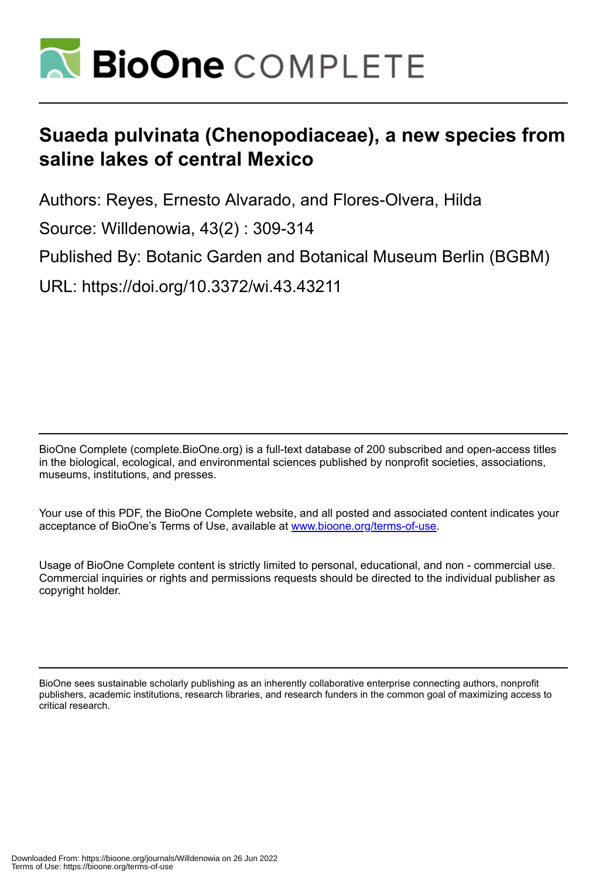

# **Suaeda pulvinata (Chenopodiaceae), a new species from saline lakes of central Mexico**

Authors: Reyes, Ernesto Alvarado, and Flores-Olvera, Hilda

Source: Willdenowia, 43(2) : 309-314

Published By: Botanic Garden and Botanical Museum Berlin (BGBM)

URL: https://doi.org/10.3372/wi.43.43211

BioOne Complete (complete.BioOne.org) is a full-text database of 200 subscribed and open-access titles in the biological, ecological, and environmental sciences published by nonprofit societies, associations, museums, institutions, and presses.

Your use of this PDF, the BioOne Complete website, and all posted and associated content indicates your acceptance of BioOne's Terms of Use, available at www.bioone.org/terms-of-use.

Usage of BioOne Complete content is strictly limited to personal, educational, and non - commercial use. Commercial inquiries or rights and permissions requests should be directed to the individual publisher as copyright holder.

BioOne sees sustainable scholarly publishing as an inherently collaborative enterprise connecting authors, nonprofit publishers, academic institutions, research libraries, and research funders in the common goal of maximizing access to critical research.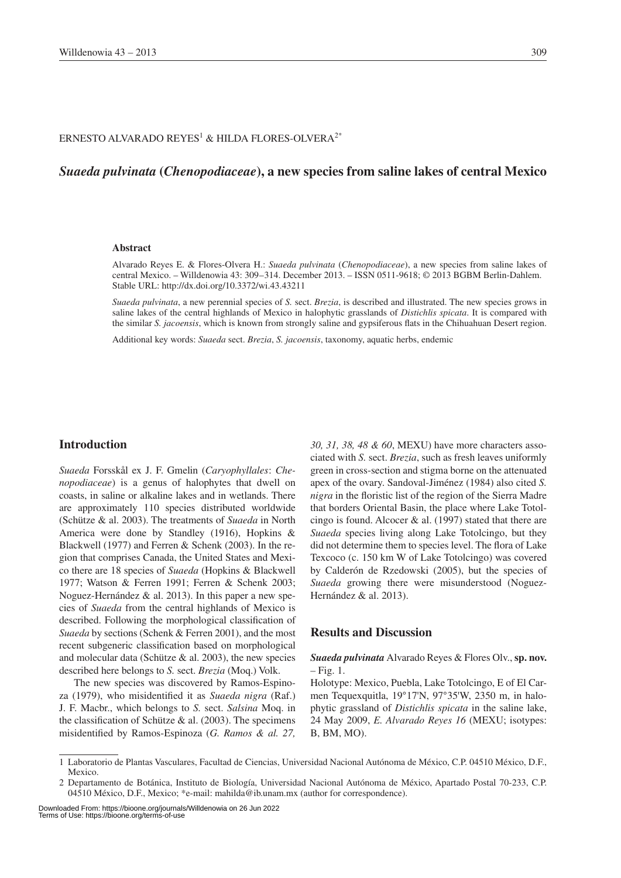#### ERNESTO ALVARADO REYES $^1$  & HILDA FLORES-OLVERA $^{2^{\ast}}$

## *Suaeda pulvinata* **(***Chenopodiaceae***), a new species from saline lakes of central Mexico**

#### **Abstract**

Alvarado Reyes E. & Flores-Olvera H.: *Suaeda pulvinata* (*Chenopodiaceae*), a new species from saline lakes of central Mexico. – Willdenowia 43: 309–314. December 2013. – ISSN 0511-9618; © 2013 BGBM Berlin-Dahlem. Stable URL: http://dx.doi.org/10.3372/wi.43.43211

*Suaeda pulvinata*, a new perennial species of *S.* sect. *Brezia*, is described and illustrated. The new species grows in saline lakes of the central highlands of Mexico in halophytic grasslands of *Distichlis spicata*. It is compared with the similar *S. jacoensis*, which is known from strongly saline and gypsiferous flats in the Chihuahuan Desert region.

Additional key words: *Suaeda* sect. *Brezia*, *S. jacoensis*, taxonomy, aquatic herbs, endemic

### **Introduction**

*Suaeda* Forsskål ex J. F. Gmelin (*Caryophyllales*: *Chenopodiaceae*) is a genus of halophytes that dwell on coasts, in saline or alkaline lakes and in wetlands. There are approximately 110 species distributed worldwide (Schütze & al. 2003). The treatments of *Suaeda* in North America were done by Standley (1916), Hopkins & Blackwell (1977) and Ferren & Schenk (2003). In the region that comprises Canada, the United States and Mexico there are 18 species of *Suaeda* (Hopkins & Blackwell 1977; Watson & Ferren 1991; Ferren & Schenk 2003; Noguez-Hernández & al. 2013). In this paper a new species of *Suaeda* from the central highlands of Mexico is described. Following the morphological classification of *Suaeda* by sections (Schenk & Ferren 2001), and the most recent subgeneric classification based on morphological and molecular data (Schütze  $\&$  al. 2003), the new species described here belongs to *S.* sect. *Brezia* (Moq.) Volk.

The new species was discovered by Ramos-Espinoza (1979), who misidentified it as *Suaeda nigra* (Raf.) J. F. Macbr., which belongs to *S.* sect. *Salsina* Moq. in the classification of Schütze  $&$  al. (2003). The specimens misidentified by Ramos-Espinoza (*G. Ramos & al. 27,* 

*30, 31, 38, 48 & 60*, MEXU) have more characters associated with *S.* sect. *Brezia*, such as fresh leaves uniformly green in cross-section and stigma borne on the attenuated apex of the ovary. Sandoval-Jiménez (1984) also cited *S. nigra* in the floristic list of the region of the Sierra Madre that borders Oriental Basin, the place where Lake Totolcingo is found. Alcocer  $\&$  al. (1997) stated that there are *Suaeda* species living along Lake Totolcingo, but they did not determine them to species level. The flora of Lake Texcoco (c. 150 km W of Lake Totolcingo) was covered by Calderón de Rzedowski (2005), but the species of *Suaeda* growing there were misunderstood (Noguez-Hernández & al. 2013).

#### **Results and Discussion**

#### *Suaeda pulvinata* Alvarado Reyes & Flores Olv., **sp. nov.**  $-$  Fig. 1.

Holotype: Mexico, Puebla, Lake Totolcingo, E of El Carmen Tequexquitla, 19°17'N, 97°35'W, 2350 m, in halophytic grassland of *Distichlis spicata* in the saline lake, 24 May 2009, *E. Alvarado Reyes 16* (MEXU; isotypes: B, BM, MO).

<sup>1</sup> Laboratorio de Plantas Vasculares, Facultad de Ciencias, Universidad Nacional Autónoma de México, C.P. 04510 México, D.F., Mexico.

<sup>2</sup> Departamento de Botánica, Instituto de Biología, Universidad Nacional Autónoma de México, Apartado Postal 70-233, C.P. 04510 México, D.F., Mexico; \*e-mail: mahilda@ib.unam.mx (author for correspondence).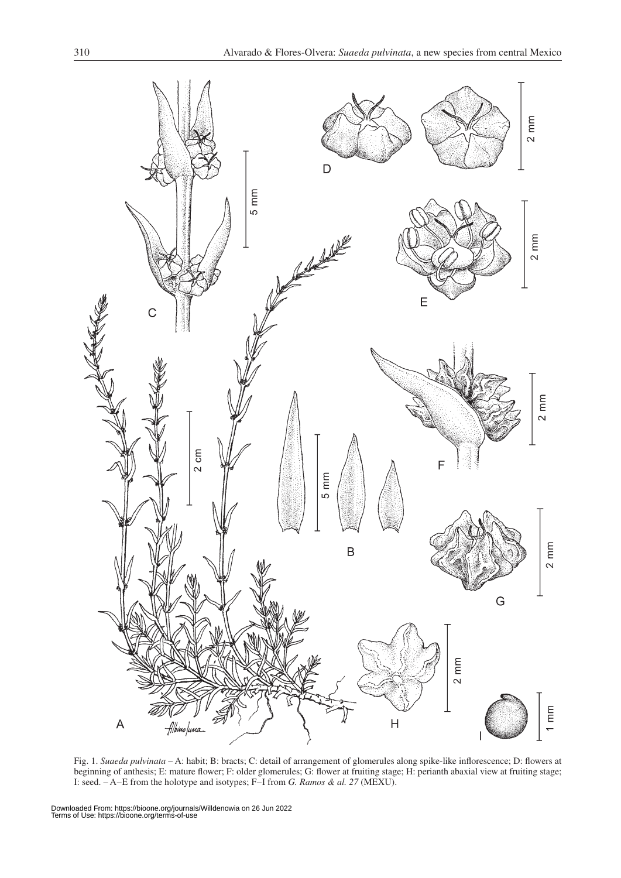

Fig. 1. *Suaeda pulvinata* – A: habit; B: bracts; C: detail of arrangement of glomerules along spike-like inflorescence; D: flowers at beginning of anthesis; E: mature flower; F: older glomerules; G: flower at fruiting stage; H: perianth abaxial view at fruiting stage; I: seed. – A–E from the holotype and isotypes; F–I from *G. Ramos & al. 27* (MEXU).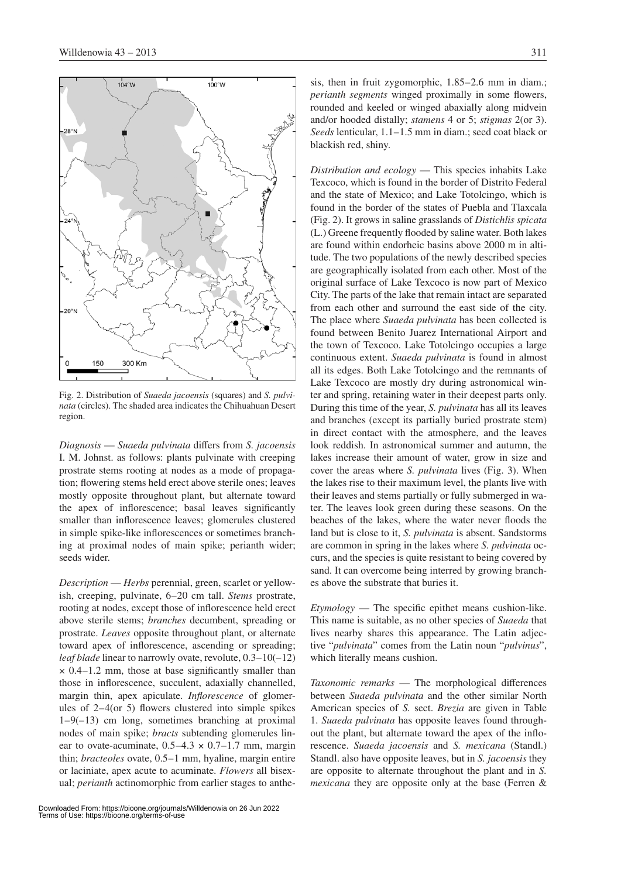

Fig. 2. Distribution of *Suaeda jacoensis* (squares) and *S. pulvinata* (circles). The shaded area indicates the Chihuahuan Desert region.

*Diagnosis* — *Suaeda pulvinata* differs from *S. jacoensis* I. M. Johnst. as follows: plants pulvinate with creeping prostrate stems rooting at nodes as a mode of propagation; flowering stems held erect above sterile ones; leaves mostly opposite throughout plant, but alternate toward the apex of inflorescence; basal leaves significantly smaller than inflorescence leaves; glomerules clustered in simple spike-like inflorescences or sometimes branching at proximal nodes of main spike; perianth wider; seeds wider.

*Description* — *Herbs* perennial, green, scarlet or yellowish, creeping, pulvinate, 6–20 cm tall. *Stems* prostrate, rooting at nodes, except those of inflorescence held erect above sterile stems; *branches* decumbent, spreading or prostrate. *Leaves* opposite throughout plant, or alternate toward apex of inflorescence, ascending or spreading; *leaf blade* linear to narrowly ovate, revolute, 0.3–10(–12)  $\times$  0.4–1.2 mm, those at base significantly smaller than those in inflorescence, succulent, adaxially channelled, margin thin, apex apiculate. *Inflorescence* of glomerules of 2–4(or 5) flowers clustered into simple spikes  $1-9(-13)$  cm long, sometimes branching at proximal nodes of main spike; *bracts* subtending glomerules linear to ovate-acuminate,  $0.5-4.3 \times 0.7-1.7$  mm, margin thin; *bracteoles* ovate, 0.5–1 mm, hyaline, margin entire or laciniate, apex acute to acuminate. *Flowers* all bisexual; *perianth* actinomorphic from earlier stages to anthesis, then in fruit zygomorphic, 1.85–2.6 mm in diam.; *perianth segments* winged proximally in some flowers, rounded and keeled or winged abaxially along midvein and/or hooded distally; *stamens* 4 or 5; *stigmas* 2(or 3). *Seeds* lenticular, 1.1–1.5 mm in diam.; seed coat black or blackish red, shiny.

*Distribution and ecology* — This species inhabits Lake Texcoco, which is found in the border of Distrito Federal and the state of Mexico; and Lake Totolcingo, which is found in the border of the states of Puebla and Tlaxcala (Fig. 2). It grows in saline grasslands of *Distichlis spicata* (L.) Greene frequently flooded by saline water. Both lakes are found within endorheic basins above 2000 m in altitude. The two populations of the newly described species are geographically isolated from each other. Most of the original surface of Lake Texcoco is now part of Mexico City. The parts of the lake that remain intact are separated from each other and surround the east side of the city. The place where *Suaeda pulvinata* has been collected is found between Benito Juarez International Airport and the town of Texcoco. Lake Totolcingo occupies a large continuous extent. *Suaeda pulvinata* is found in almost all its edges. Both Lake Totolcingo and the remnants of Lake Texcoco are mostly dry during astronomical winter and spring, retaining water in their deepest parts only. During this time of the year, *S. pulvinata* has all its leaves and branches (except its partially buried prostrate stem) in direct contact with the atmosphere, and the leaves look reddish. In astronomical summer and autumn, the lakes increase their amount of water, grow in size and cover the areas where *S. pulvinata* lives (Fig. 3). When the lakes rise to their maximum level, the plants live with their leaves and stems partially or fully submerged in water. The leaves look green during these seasons. On the beaches of the lakes, where the water never floods the land but is close to it, *S. pulvinata* is absent. Sandstorms are common in spring in the lakes where *S. pulvinata* occurs, and the species is quite resistant to being covered by sand. It can overcome being interred by growing branches above the substrate that buries it.

*Etymology* — The specific epithet means cushion-like. This name is suitable, as no other species of *Suaeda* that lives nearby shares this appearance. The Latin adjective "*pulvinata*" comes from the Latin noun "*pulvinus*", which literally means cushion.

*Taxonomic remarks* — The morphological differences between *Suaeda pulvinata* and the other similar North American species of *S.* sect. *Brezia* are given in Table 1. *Suaeda pulvinata* has opposite leaves found throughout the plant, but alternate toward the apex of the inflorescence. *Suaeda jacoensis* and *S. mexicana* (Standl.) Standl. also have opposite leaves, but in *S. jacoensis* they are opposite to alternate throughout the plant and in *S. mexicana* they are opposite only at the base (Ferren &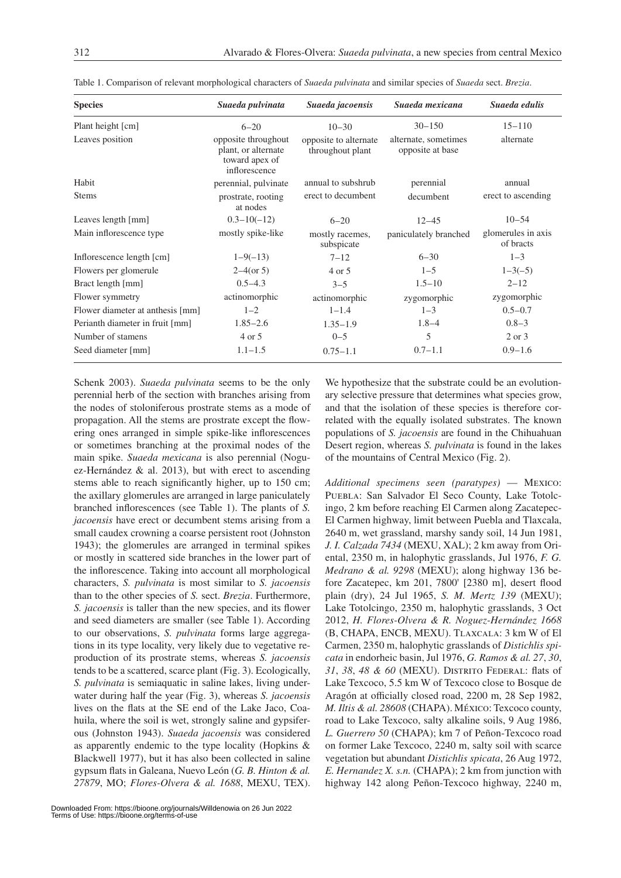| <b>Species</b>                   | Suaeda pulvinata                                                              | Suaeda jacoensis                          | Suaeda mexicana                          | Suaeda edulis                   |
|----------------------------------|-------------------------------------------------------------------------------|-------------------------------------------|------------------------------------------|---------------------------------|
| Plant height [cm]                | $6 - 20$                                                                      | $10 - 30$                                 | $30 - 150$                               | $15 - 110$                      |
| Leaves position                  | opposite throughout<br>plant, or alternate<br>toward apex of<br>inflorescence | opposite to alternate<br>throughout plant | alternate, sometimes<br>opposite at base | alternate                       |
| Habit                            | perennial, pulvinate                                                          | annual to subshrub                        | perennial                                | annual                          |
| <b>Stems</b>                     | prostrate, rooting<br>at nodes                                                | erect to decumbent                        | decumbent                                | erect to ascending              |
| Leaves length [mm]               | $0.3 - 10(-12)$                                                               | $6 - 20$                                  | $12 - 45$                                | $10 - 54$                       |
| Main inflorescence type          | mostly spike-like                                                             | mostly racemes,<br>subspicate             | paniculately branched                    | glomerules in axis<br>of bracts |
| Inflorescence length [cm]        | $1 - 9(-13)$                                                                  | $7 - 12$                                  | $6 - 30$                                 | $1 - 3$                         |
| Flowers per glomerule            | $2-4$ (or 5)                                                                  | 4 or 5                                    | $1 - 5$                                  | $1 - 3(-5)$                     |
| Bract length [mm]                | $0.5 - 4.3$                                                                   | $3 - 5$                                   | $1.5 - 10$                               | $2 - 12$                        |
| Flower symmetry                  | actinomorphic                                                                 | actinomorphic                             | zygomorphic                              | zygomorphic                     |
| Flower diameter at anthesis [mm] | $1 - 2$                                                                       | $1 - 1.4$                                 | $1 - 3$                                  | $0.5 - 0.7$                     |
| Perianth diameter in fruit [mm]  | $1.85 - 2.6$                                                                  | $1.35 - 1.9$                              | $1.8 - 4$                                | $0.8 - 3$                       |
| Number of stamens                | 4 or 5                                                                        | $0 - 5$                                   | 5                                        | 2 or 3                          |
| Seed diameter [mm]               | $1.1 - 1.5$                                                                   | $0.75 - 1.1$                              | $0.7 - 1.1$                              | $0.9 - 1.6$                     |

Table 1. Comparison of relevant morphological characters of *Suaeda pulvinata* and similar species of *Suaeda* sect. *Brezia*.

Schenk 2003). *Suaeda pulvinata* seems to be the only perennial herb of the section with branches arising from the nodes of stoloniferous prostrate stems as a mode of propagation. All the stems are prostrate except the flowering ones arranged in simple spike-like inflorescences or sometimes branching at the proximal nodes of the main spike. *Suaeda mexicana* is also perennial (Noguez-Hernández & al. 2013), but with erect to ascending stems able to reach significantly higher, up to 150 cm; the axillary glomerules are arranged in large paniculately branched inflorescences (see Table 1). The plants of *S. jacoensis* have erect or decumbent stems arising from a small caudex crowning a coarse persistent root (Johnston 1943); the glomerules are arranged in terminal spikes or mostly in scattered side branches in the lower part of the inflorescence. Taking into account all morphological characters, *S. pulvinata* is most similar to *S. jacoensis* than to the other species of *S.* sect. *Brezia*. Furthermore, *S. jacoensis* is taller than the new species, and its flower and seed diameters are smaller (see Table 1). According to our observations, *S. pulvinata* forms large aggregations in its type locality, very likely due to vegetative reproduction of its prostrate stems, whereas *S. jacoensis* tends to be a scattered, scarce plant (Fig. 3). Ecologically, *S. pulvinata* is semiaquatic in saline lakes, living underwater during half the year (Fig. 3), whereas *S. jacoensis* lives on the flats at the SE end of the Lake Jaco, Coahuila, where the soil is wet, strongly saline and gypsiferous (Johnston 1943). *Suaeda jacoensis* was considered as apparently endemic to the type locality (Hopkins & Blackwell 1977), but it has also been collected in saline gypsum flats in Galeana, Nuevo León (*G. B. Hinton & al. 27879*, MO; *Flores-Olvera & al. 1688*, MEXU, TEX).

We hypothesize that the substrate could be an evolutionary selective pressure that determines what species grow, and that the isolation of these species is therefore correlated with the equally isolated substrates. The known populations of *S. jacoensis* are found in the Chihuahuan Desert region, whereas *S. pulvinata* is found in the lakes of the mountains of Central Mexico (Fig. 2).

*Additional specimens seen (paratypes)* — Mexico: PUEBLA: San Salvador El Seco County, Lake Totolcingo, 2 km before reaching El Carmen along Zacatepec-El Carmen highway, limit between Puebla and Tlaxcala, 2640 m, wet grassland, marshy sandy soil, 14 Jun 1981, *J. I. Calzada 7434* (MEXU, XAL); 2 km away from Oriental, 2350 m, in halophytic grasslands, Jul 1976, *F. G. Medrano & al. 9298* (MEXU); along highway 136 before Zacatepec, km 201, 7800' [2380 m], desert flood plain (dry), 24 Jul 1965, *S. M. Mertz 139* (MEXU); Lake Totolcingo, 2350 m, halophytic grasslands, 3 Oct 2012, *H. Flores-Olvera & R. Noguez-Hernández 1668*  (B, CHAPA, ENCB, MEXU). Tlaxcala: 3 km W of El Carmen, 2350 m, halophytic grasslands of *Distichlis spicata* in endorheic basin, Jul 1976, *G. Ramos & al. 27*, *30*, *31*, *38*, *48 & 60* (MEXU). Distrito Federal: flats of Lake Texcoco, 5.5 km W of Texcoco close to Bosque de Aragón at officially closed road, 2200 m, 28 Sep 1982, *M. Iltis & al. 28608* (CHAPA). México: Texcoco county, road to Lake Texcoco, salty alkaline soils, 9 Aug 1986, *L. Guerrero 50* (CHAPA); km 7 of Peñon-Texcoco road on former Lake Texcoco, 2240 m, salty soil with scarce vegetation but abundant *Distichlis spicata*, 26 Aug 1972, *E. Hernandez X. s.n.* (CHAPA); 2 km from junction with highway 142 along Peñon-Texcoco highway, 2240 m,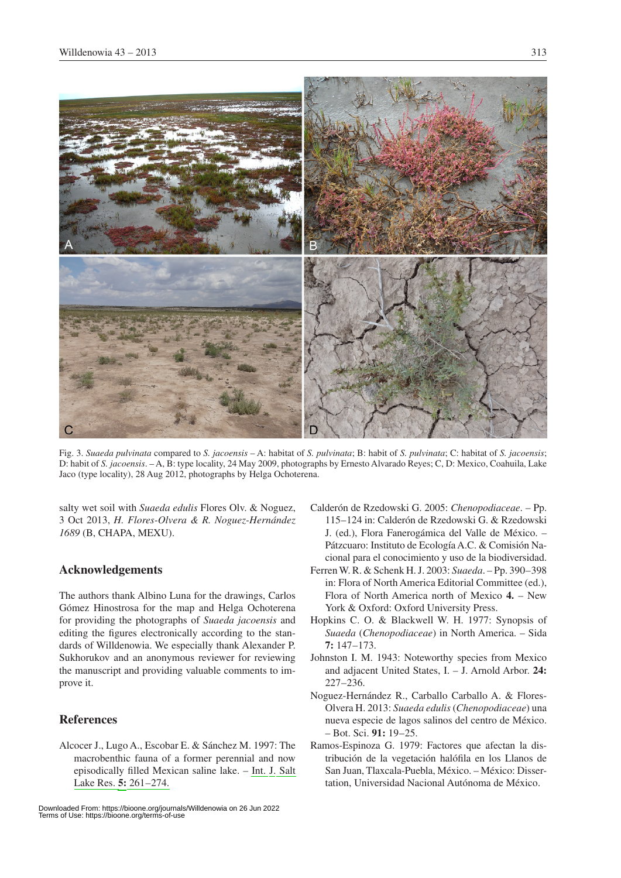

Fig. 3. *Suaeda pulvinata* compared to *S. jacoensis* – A: habitat of *S. pulvinata*; B: habit of *S. pulvinata*; C: habitat of *S. jacoensis*; D: habit of *S. jacoensis*. – A, B: type locality, 24 May 2009, photographs by Ernesto Alvarado Reyes; C, D: Mexico, Coahuila, Lake Jaco (type locality), 28 Aug 2012, photographs by Helga Ochoterena.

salty wet soil with *Suaeda edulis* Flores Olv. & Noguez, 3 Oct 2013, *H. Flores-Olvera & R. Noguez-Hernández 1689* (B, CHAPA, MEXU).

## **Acknowledgements**

The authors thank Albino Luna for the drawings, Carlos Gómez Hinostrosa for the map and Helga Ochoterena for providing the photographs of *Suaeda jacoensis* and editing the figures electronically according to the standards of Willdenowia. We especially thank Alexander P. Sukhorukov and an anonymous reviewer for reviewing the manuscript and providing valuable comments to improve it.

## **References**

Alcocer J., Lugo A., Escobar E. & Sánchez M. 1997: The macrobenthic fauna of a former perennial and now episodically filled Mexican saline lake. – [Int. J. Salt](http://dx.doi.org/10.1007/BF01997141)  [Lake Res.](http://dx.doi.org/10.1007/BF01997141) **[5:](http://dx.doi.org/10.1007/BF01997141)** [261–274.](http://dx.doi.org/10.1007/BF01997141)

- Calderón de Rzedowski G. 2005: *Chenopodiaceae*. Pp. 115–124 in: Calderón de Rzedowski G. & Rzedowski J. (ed.), Flora Fanerogámica del Valle de México. – Pátzcuaro: Instituto de Ecología A.C. & Comisión Nacional para el conocimiento y uso de la biodiversidad.
- Ferren W. R. & Schenk H. J. 2003: *Suaeda*. Pp. 390–398 in: Flora of North America Editorial Committee (ed.), Flora of North America north of Mexico **4.** – New York & Oxford: Oxford University Press.
- Hopkins C. O. & Blackwell W. H. 1977: Synopsis of *Suaeda* (*Chenopodiaceae*) in North America. – Sida **7:** 147–173.
- Johnston I. M. 1943: Noteworthy species from Mexico and adjacent United States, I. – J. Arnold Arbor. **24:** 227–236.
- Noguez-Hernández R., Carballo Carballo A. & Flores-Olvera H. 2013: *Suaeda edulis* (*Chenopodiaceae*) una nueva especie de lagos salinos del centro de México. – Bot. Sci. **91:** 19–25.
- Ramos-Espinoza G. 1979: Factores que afectan la distribución de la vegetación halófila en los Llanos de San Juan, Tlaxcala-Puebla, México. – México: Dissertation, Universidad Nacional Autónoma de México.